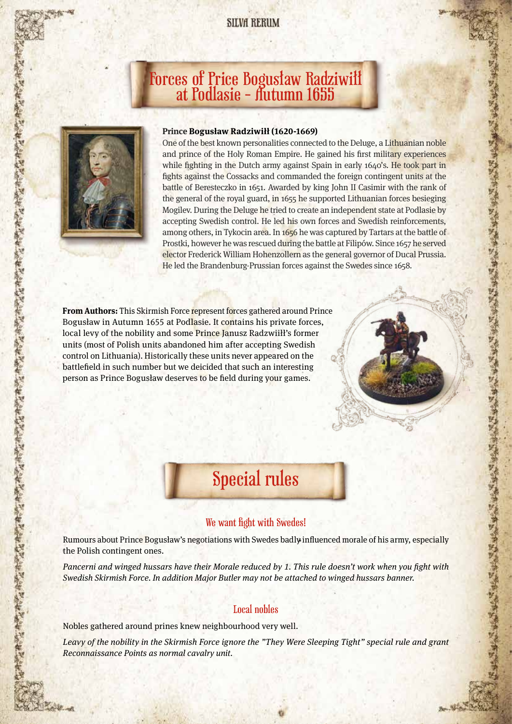### **SILVA RERUM**

# Forces of Price Bogusław Radziwiłł at Podlasie - Autumn 1655



在 取有 医食用血 医食品合成 医白色色 医白发素 医白发音 医血管试验检 医白发素 医白头 有效性 医黄疸

#### **Prince Bogusław Radziwiłł (1620-1669)**

One of the best known personalities connected to the Deluge, a Lithuanian noble and prince of the Holy Roman Empire. He gained his first military experiences while fighting in the Dutch army against Spain in early 1640's. He took part in fights against the Cossacks and commanded the foreign contingent units at the battle of Beresteczko in 1651. Awarded by king John II Casimir with the rank of the general of the royal guard, in 1655 he supported Lithuanian forces besieging Mogilev. During the Deluge he tried to create an independent state at Podlasie by accepting Swedish control. He led his own forces and Swedish reinforcements, among others, in Tykocin area. In 1656 he was captured by Tartars at the battle of Prostki, however he was rescued during the battle at Filipów. Since 1657 he served elector Frederick William Hohenzollern as the general governor of Ducal Prussia. He led the Brandenburg-Prussian forces against the Swedes since 1658.

的复数医学的 医心理 医心理学 医心理学 医血管 医血管 医心理学

医学院的第三节的名词复数 医无原则

不禁 计小时 法法院 计中心的 医神经病的 医中性病的 医神经病的

**From Authors:** This Skirmish Force represent forces gathered around Prince Bogusław in Autumn 1655 at Podlasie. It contains his private forces, local levy of the nobility and some Prince Janusz Radzwiiłł's former units (most of Polish units abandoned him after accepting Swedish control on Lithuania). Historically these units never appeared on the battlefield in such number but we deicided that such an interesting person as Prince Bogusław deserves to be field during your games.



#### We want fight with Swedes!

Rumours about Prince Bogusław's negotiations with Swedes badly influenced morale of his army, especially the Polish contingent ones.

Pancerni and winged hussars have their Morale reduced by 1. This rule doesn't work when you fight with Swedish Skirmish Force. In addition Major Butler may not be attached to winged hussars banner.

### Local nobles

Nobles gathered around prines knew neighbourhood very well.

Leavy of the nobility in the Skirmish Force ignore the "They Were Sleeping Tight" special rule and grant Reconnaissance Points as normal cavalry unit.